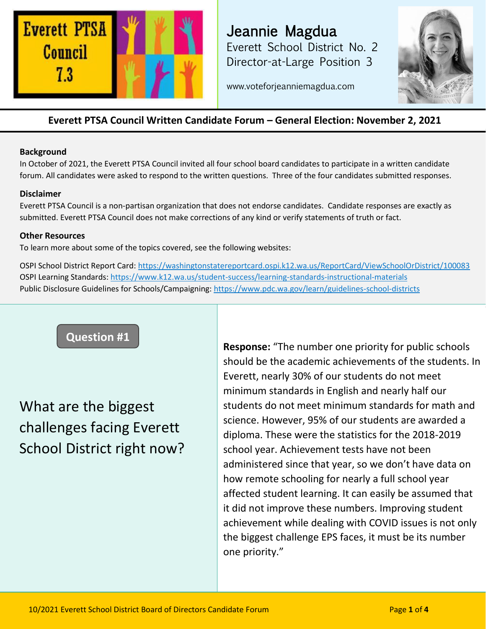

Jeannie Magdua Everett School District No. 2 Director-at-Large Position 3



www.voteforjeanniemagdua.com

### **Everett PTSA Council Written Candidate Forum – General Election: November 2, 2021**

#### **Background**

In October of 2021, the Everett PTSA Council invited all four school board candidates to participate in a written candidate forum. All candidates were asked to respond to the written questions. Three of the four candidates submitted responses.

### **Disclaimer**

Everett PTSA Council is a non-partisan organization that does not endorse candidates. Candidate responses are exactly as submitted. Everett PTSA Council does not make corrections of any kind or verify statements of truth or fact.

### **Other Resources**

To learn more about some of the topics covered, see the following websites:

OSPI School District Report Card:<https://washingtonstatereportcard.ospi.k12.wa.us/ReportCard/ViewSchoolOrDistrict/100083> OSPI Learning Standards:<https://www.k12.wa.us/student-success/learning-standards-instructional-materials> Public Disclosure Guidelines for Schools/Campaigning:<https://www.pdc.wa.gov/learn/guidelines-school-districts>

## **Question #1**

# What are the biggest challenges facing Everett School District right now?

**Response:** "The number one priority for public schools should be the academic achievements of the students. In Everett, nearly 30% of our students do not meet minimum standards in English and nearly half our students do not meet minimum standards for math and science. However, 95% of our students are awarded a diploma. These were the statistics for the 2018-2019 school year. Achievement tests have not been administered since that year, so we don't have data on how remote schooling for nearly a full school year affected student learning. It can easily be assumed that it did not improve these numbers. Improving student achievement while dealing with COVID issues is not only the biggest challenge EPS faces, it must be its number one priority."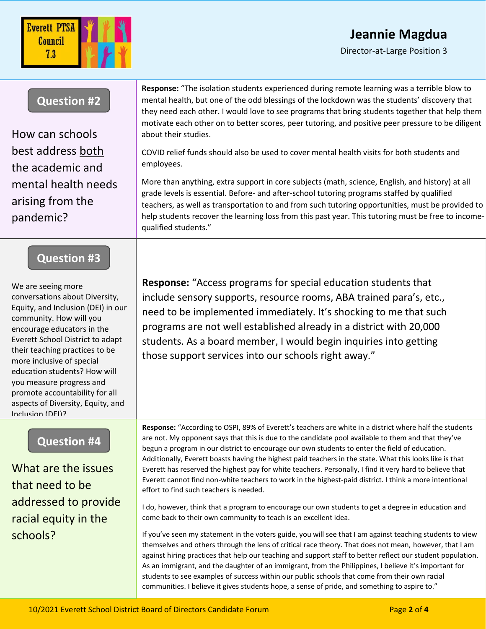# **Jeannie Magdua**

Director-at-Large Position 3

| <b>Question #2</b><br>How can schools                                                                                                                                                                                                                                                                                                                                                                         | Response: "The isolation students experienced during remote learning was a terrible blow to<br>mental health, but one of the odd blessings of the lockdown was the students' discovery that<br>they need each other. I would love to see programs that bring students together that help them<br>motivate each other on to better scores, peer tutoring, and positive peer pressure to be diligent<br>about their studies.                                                                                                                                                                                                                                                                     |
|---------------------------------------------------------------------------------------------------------------------------------------------------------------------------------------------------------------------------------------------------------------------------------------------------------------------------------------------------------------------------------------------------------------|------------------------------------------------------------------------------------------------------------------------------------------------------------------------------------------------------------------------------------------------------------------------------------------------------------------------------------------------------------------------------------------------------------------------------------------------------------------------------------------------------------------------------------------------------------------------------------------------------------------------------------------------------------------------------------------------|
| best address both<br>the academic and                                                                                                                                                                                                                                                                                                                                                                         | COVID relief funds should also be used to cover mental health visits for both students and<br>employees.                                                                                                                                                                                                                                                                                                                                                                                                                                                                                                                                                                                       |
| mental health needs<br>arising from the<br>pandemic?                                                                                                                                                                                                                                                                                                                                                          | More than anything, extra support in core subjects (math, science, English, and history) at all<br>grade levels is essential. Before- and after-school tutoring programs staffed by qualified<br>teachers, as well as transportation to and from such tutoring opportunities, must be provided to<br>help students recover the learning loss from this past year. This tutoring must be free to income-<br>qualified students."                                                                                                                                                                                                                                                                |
| <b>Question #3</b>                                                                                                                                                                                                                                                                                                                                                                                            |                                                                                                                                                                                                                                                                                                                                                                                                                                                                                                                                                                                                                                                                                                |
| We are seeing more<br>conversations about Diversity,<br>Equity, and Inclusion (DEI) in our<br>community. How will you<br>encourage educators in the<br>Everett School District to adapt<br>their teaching practices to be<br>more inclusive of special<br>education students? How will<br>you measure progress and<br>promote accountability for all<br>aspects of Diversity, Equity, and<br>Inclusion (DFI)? | <b>Response:</b> "Access programs for special education students that<br>include sensory supports, resource rooms, ABA trained para's, etc.,<br>need to be implemented immediately. It's shocking to me that such<br>programs are not well established already in a district with 20,000<br>students. As a board member, I would begin inquiries into getting<br>those support services into our schools right away."                                                                                                                                                                                                                                                                          |
| <b>Question #4</b><br>What are the issues<br>that need to be                                                                                                                                                                                                                                                                                                                                                  | Response: "According to OSPI, 89% of Everett's teachers are white in a district where half the students<br>are not. My opponent says that this is due to the candidate pool available to them and that they've<br>begun a program in our district to encourage our own students to enter the field of education.<br>Additionally, Everett boasts having the highest paid teachers in the state. What this looks like is that<br>Everett has reserved the highest pay for white teachers. Personally, I find it very hard to believe that<br>Everett cannot find non-white teachers to work in the highest-paid district. I think a more intentional<br>effort to find such teachers is needed. |
| addressed to provide<br>racial equity in the                                                                                                                                                                                                                                                                                                                                                                  | I do, however, think that a program to encourage our own students to get a degree in education and<br>come back to their own community to teach is an excellent idea.                                                                                                                                                                                                                                                                                                                                                                                                                                                                                                                          |
| schools?                                                                                                                                                                                                                                                                                                                                                                                                      | If you've seen my statement in the voters guide, you will see that I am against teaching students to view<br>themselves and others through the lens of critical race theory. That does not mean, however, that I am<br>against hiring practices that help our teaching and support staff to better reflect our student population.<br>As an immigrant, and the daughter of an immigrant, from the Philippines, I believe it's important for<br>students to see examples of success within our public schools that come from their own racial                                                                                                                                                   |

communities. I believe it gives students hope, a sense of pride, and something to aspire to."

Everett PTSA Council  $7.3$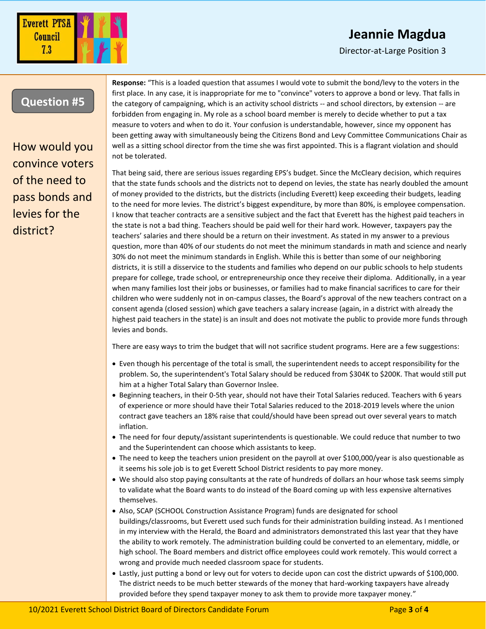# **Jeannie Magdua**

Director-at-Large Position 3



Everett PTSA Council  $7.3$ 

How would you convince voters of the need to pass bonds and levies for the district?

**Response:** "This is a loaded question that assumes I would vote to submit the bond/levy to the voters in the first place. In any case, it is inappropriate for me to "convince" voters to approve a bond or levy. That falls in the category of campaigning, which is an activity school districts -- and school directors, by extension -- are forbidden from engaging in. My role as a school board member is merely to decide whether to put a tax measure to voters and when to do it. Your confusion is understandable, however, since my opponent has been getting away with simultaneously being the Citizens Bond and Levy Committee Communications Chair as well as a sitting school director from the time she was first appointed. This is a flagrant violation and should not be tolerated.

That being said, there are serious issues regarding EPS's budget. Since the McCleary decision, which requires that the state funds schools and the districts not to depend on levies, the state has nearly doubled the amount of money provided to the districts, but the districts (including Everett) keep exceeding their budgets, leading to the need for more levies. The district's biggest expenditure, by more than 80%, is employee compensation. I know that teacher contracts are a sensitive subject and the fact that Everett has the highest paid teachers in the state is not a bad thing. Teachers should be paid well for their hard work. However, taxpayers pay the teachers' salaries and there should be a return on their investment. As stated in my answer to a previous question, more than 40% of our students do not meet the minimum standards in math and science and nearly 30% do not meet the minimum standards in English. While this is better than some of our neighboring districts, it is still a disservice to the students and families who depend on our public schools to help students prepare for college, trade school, or entrepreneurship once they receive their diploma. Additionally, in a year when many families lost their jobs or businesses, or families had to make financial sacrifices to care for their children who were suddenly not in on-campus classes, the Board's approval of the new teachers contract on a consent agenda (closed session) which gave teachers a salary increase (again, in a district with already the highest paid teachers in the state) is an insult and does not motivate the public to provide more funds through levies and bonds.

There are easy ways to trim the budget that will not sacrifice student programs. Here are a few suggestions:

- Even though his percentage of the total is small, the superintendent needs to accept responsibility for the problem. So, the superintendent's Total Salary should be reduced from \$304K to \$200K. That would still put him at a higher Total Salary than Governor Inslee.
- Beginning teachers, in their 0-5th year, should not have their Total Salaries reduced. Teachers with 6 years of experience or more should have their Total Salaries reduced to the 2018-2019 levels where the union contract gave teachers an 18% raise that could/should have been spread out over several years to match inflation.
- The need for four deputy/assistant superintendents is questionable. We could reduce that number to two and the Superintendent can choose which assistants to keep.
- The need to keep the teachers union president on the payroll at over \$100,000/year is also questionable as it seems his sole job is to get Everett School District residents to pay more money.
- We should also stop paying consultants at the rate of hundreds of dollars an hour whose task seems simply to validate what the Board wants to do instead of the Board coming up with less expensive alternatives themselves.
- Also, SCAP (SCHOOL Construction Assistance Program) funds are designated for school buildings/classrooms, but Everett used such funds for their administration building instead. As I mentioned in my interview with the Herald, the Board and administrators demonstrated this last year that they have the ability to work remotely. The administration building could be converted to an elementary, middle, or high school. The Board members and district office employees could work remotely. This would correct a wrong and provide much needed classroom space for students.
- Lastly, just putting a bond or levy out for voters to decide upon can cost the district upwards of \$100,000. The district needs to be much better stewards of the money that hard-working taxpayers have already provided before they spend taxpayer money to ask them to provide more taxpayer money."